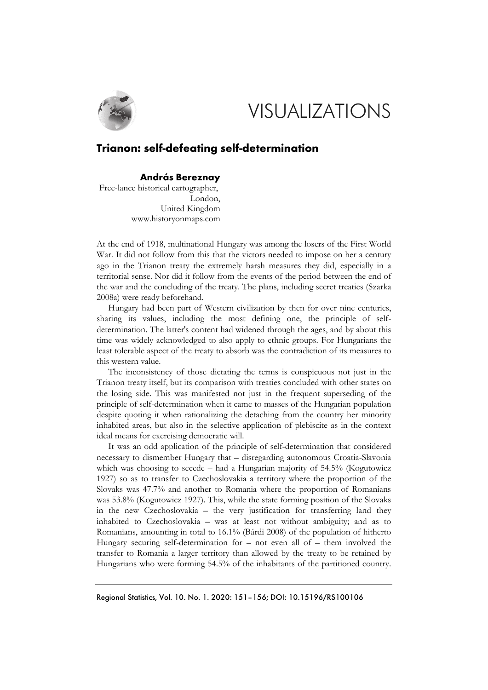

## VISUALIZATIONS

## **Trianon: self-defeating self-determination**

## **András Bereznay**

Free-lance historical cartographer, London, United Kingdom www.historyonmaps.com

At the end of 1918, multinational Hungary was among the losers of the First World War. It did not follow from this that the victors needed to impose on her a century ago in the Trianon treaty the extremely harsh measures they did, especially in a territorial sense. Nor did it follow from the events of the period between the end of the war and the concluding of the treaty. The plans, including secret treaties (Szarka 2008a) were ready beforehand.

Hungary had been part of Western civilization by then for over nine centuries, sharing its values, including the most defining one, the principle of selfdetermination. The latter's content had widened through the ages, and by about this time was widely acknowledged to also apply to ethnic groups. For Hungarians the least tolerable aspect of the treaty to absorb was the contradiction of its measures to this western value.

The inconsistency of those dictating the terms is conspicuous not just in the Trianon treaty itself, but its comparison with treaties concluded with other states on the losing side. This was manifested not just in the frequent superseding of the principle of self-determination when it came to masses of the Hungarian population despite quoting it when rationalizing the detaching from the country her minority inhabited areas, but also in the selective application of plebiscite as in the context ideal means for exercising democratic will.

It was an odd application of the principle of self-determination that considered necessary to dismember Hungary that – disregarding autonomous Croatia-Slavonia which was choosing to secede – had a Hungarian majority of 54.5% (Kogutowicz 1927) so as to transfer to Czechoslovakia a territory where the proportion of the Slovaks was 47.7% and another to Romania where the proportion of Romanians was 53.8% (Kogutowicz 1927). This, while the state forming position of the Slovaks in the new Czechoslovakia – the very justification for transferring land they inhabited to Czechoslovakia – was at least not without ambiguity; and as to Romanians, amounting in total to 16.1% (Bárdi 2008) of the population of hitherto Hungary securing self-determination for – not even all of – them involved the transfer to Romania a larger territory than allowed by the treaty to be retained by Hungarians who were forming 54.5% of the inhabitants of the partitioned country.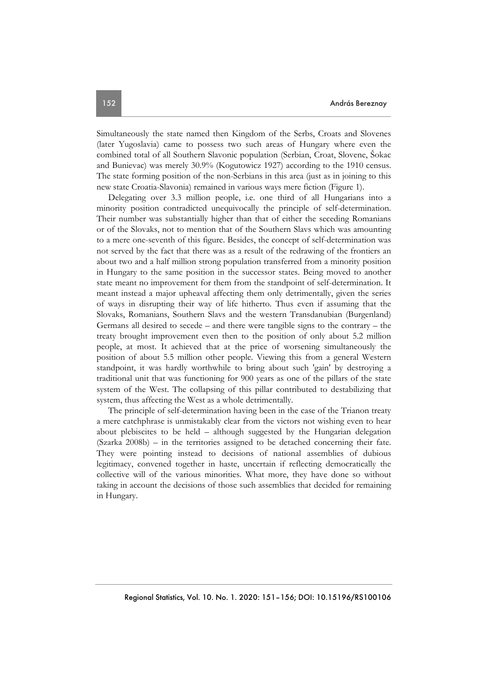Simultaneously the state named then Kingdom of the Serbs, Croats and Slovenes (later Yugoslavia) came to possess two such areas of Hungary where even the combined total of all Southern Slavonic population (Serbian, Croat, Slovene, Šokac and Bunievac) was merely 30.9% (Kogutowicz 1927) according to the 1910 census. The state forming position of the non-Serbians in this area (just as in joining to this new state Croatia-Slavonia) remained in various ways mere fiction (Figure 1).

Delegating over 3.3 million people, i.e. one third of all Hungarians into a minority position contradicted unequivocally the principle of self-determination. Their number was substantially higher than that of either the seceding Romanians or of the Slovaks, not to mention that of the Southern Slavs which was amounting to a mere one-seventh of this figure. Besides, the concept of self-determination was not served by the fact that there was as a result of the redrawing of the frontiers an about two and a half million strong population transferred from a minority position in Hungary to the same position in the successor states. Being moved to another state meant no improvement for them from the standpoint of self-determination. It meant instead a major upheaval affecting them only detrimentally, given the series of ways in disrupting their way of life hitherto. Thus even if assuming that the Slovaks, Romanians, Southern Slavs and the western Transdanubian (Burgenland) Germans all desired to secede – and there were tangible signs to the contrary – the treaty brought improvement even then to the position of only about 5.2 million people, at most. It achieved that at the price of worsening simultaneously the position of about 5.5 million other people. Viewing this from a general Western standpoint, it was hardly worthwhile to bring about such 'gain' by destroying a traditional unit that was functioning for 900 years as one of the pillars of the state system of the West. The collapsing of this pillar contributed to destabilizing that system, thus affecting the West as a whole detrimentally.

The principle of self-determination having been in the case of the Trianon treaty a mere catchphrase is unmistakably clear from the victors not wishing even to hear about plebiscites to be held – although suggested by the Hungarian delegation (Szarka 2008b) – in the territories assigned to be detached concerning their fate. They were pointing instead to decisions of national assemblies of dubious legitimacy, convened together in haste, uncertain if reflecting democratically the collective will of the various minorities. What more, they have done so without taking in account the decisions of those such assemblies that decided for remaining in Hungary.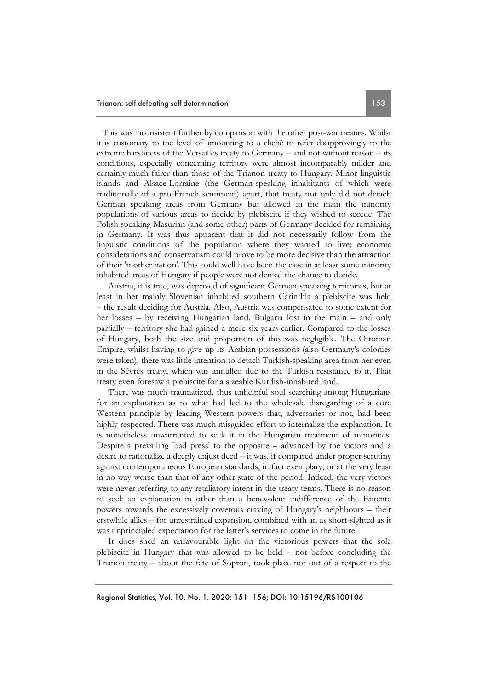This was inconsistent further by comparison with the other post-war treaties. Whilst it is customary to the level of amounting to a cliché to refer disapprovingly to the extreme harshness of the Versailles treaty to Germany – and not without reason – its conditions, especially concerning territory were almost incomparably milder and certainly much fairer than those of the Trianon treaty to Hungary. Minor linguistic islands and Alsace-Lorraine (the German-speaking inhabitants of which were traditionally of a pro-French sentiment) apart, that treaty not only did not detach German speaking areas from Germany but allowed in the main the minority populations of various areas to decide by plebiscite if they wished to secede. The Polish speaking Masurian (and some other) parts of Germany decided for remaining in Germany. It was thus apparent that it did not necessarily follow from the linguistic conditions of the population where they wanted to live; economic considerations and conservatism could prove to be more decisive than the attraction of their 'mother nation'. This could well have been the case in at least some minority inhabited areas of Hungary if people were not denied the chance to decide.

Austria, it is true, was deprived of significant German-speaking territories, but at least in her mainly Slovenian inhabited southern Carinthia a plebiscite was held – the result deciding for Austria. Also, Austria was compensated to some extent for her losses – by receiving Hungarian land. Bulgaria lost in the main – and only partially – territory she had gained a mere six years earlier. Compared to the losses of Hungary, both the size and proportion of this was negligible. The Ottoman Empire, whilst having to give up its Arabian possessions (also Germany's colonies were taken), there was little intention to detach Turkish-speaking area from her even in the Sèvres treaty, which was annulled due to the Turkish resistance to it. That treaty even foresaw a plebiscite for a sizeable Kurdish-inhabited land.

There was much traumatized, thus unhelpful soul searching among Hungarians for an explanation as to what had led to the wholesale disregarding of a core Western principle by leading Western powers that, adversaries or not, had been highly respected. There was much misguided effort to internalize the explanation. It is nonetheless unwarranted to seek it in the Hungarian treatment of minorities. Despite a prevailing 'bad press' to the opposite – advanced by the victors and a desire to rationalize a deeply unjust deed – it was, if compared under proper scrutiny against contemporaneous European standards, in fact exemplary, or at the very least in no way worse than that of any other state of the period. Indeed, the very victors were never referring to any retaliatory intent in the treaty terms. There is no reason to seek an explanation in other than a benevolent indifference of the Entente powers towards the excessively covetous craving of Hungary's neighbours – their erstwhile allies – for unrestrained expansion, combined with an as short-sighted as it was unprincipled expectation for the latter's services to come in the future.

It does shed an unfavourable light on the victorious powers that the sole plebiscite in Hungary that was allowed to be held – not before concluding the Trianon treaty – about the fate of Sopron, took place not out of a respect to the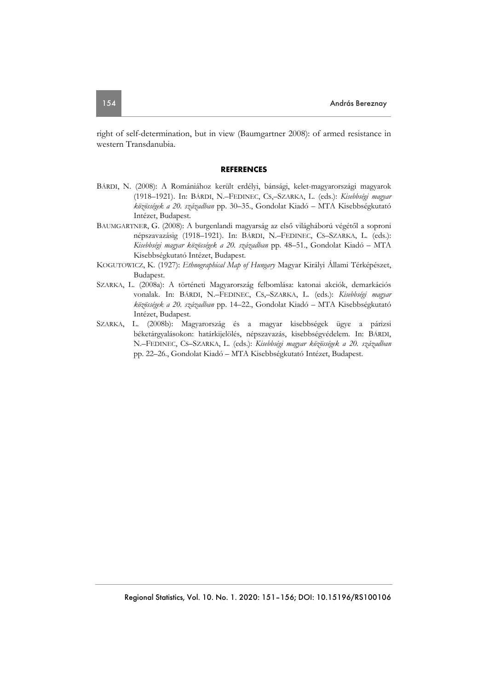right of self-determination, but in view (Baumgartner 2008): of armed resistance in western Transdanubia.

## **REFERENCES**

- BÁRDI, N. (2008): A Romániához került erdélyi, bánsági, kelet-magyarországi magyarok (1918–1921). In: BÁRDI, N.–FEDINEC, CS,–SZARKA, L. (eds.): *Kisebbségi magyar közösségek a 20. században* pp. 30–35., Gondolat Kiadó – MTA Kisebbségkutató Intézet, Budapest.
- BAUMGARTNER, G. (2008): A burgenlandi magyarság az első világháború végétől a soproni népszavazásig (1918–1921). In: BÁRDI, N.–FEDINEC, CS–SZARKA, L. (eds.): *Kisebbségi magyar közösségek a 20. században* pp. 48–51., Gondolat Kiadó – MTA Kisebbségkutató Intézet, Budapest.
- KOGUTOWICZ, K. (1927): *Ethnographical Map of Hungary* Magyar Királyi Állami Térképészet, Budapest.
- SZARKA, L. (2008a): A történeti Magyarország felbomlása: katonai akciók, demarkációs vonalak. In: BÁRDI, N.–FEDINEC, CS,–SZARKA, L. (eds.): *Kisebbségi magyar közösségek a 20. században* pp. 14–22., Gondolat Kiadó – MTA Kisebbségkutató Intézet, Budapest.
- SZARKA, L. (2008b): Magyarország és a magyar kisebbségek ügye a párizsi béketárgyalásokon: határkijelölés, népszavazás, kisebbségvédelem. In: BÁRDI, N.–FEDINEC, CS–SZARKA, L. (eds.): *Kisebbségi magyar közösségek a 20. században* pp. 22–26., Gondolat Kiadó – MTA Kisebbségkutató Intézet, Budapest.